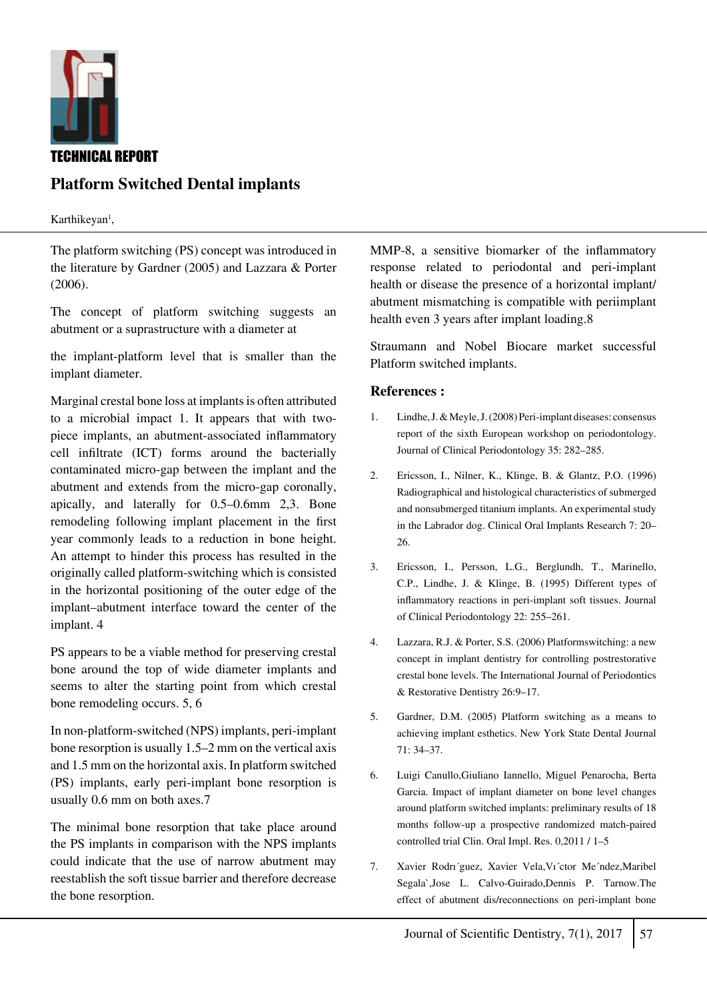

# **Platform Switched Dental implants**

Karthikeyan<sup>1</sup>,

The platform switching (PS) concept was introduced in the literature by Gardner (2005) and Lazzara & Porter (2006).

The concept of platform switching suggests an abutment or a suprastructure with a diameter at

the implant-platform level that is smaller than the implant diameter.

Marginal crestal bone loss at implants is often attributed to a microbial impact 1. It appears that with twopiece implants, an abutment-associated inflammatory cell infiltrate (ICT) forms around the bacterially contaminated micro-gap between the implant and the abutment and extends from the micro-gap coronally, apically, and laterally for 0.5–0.6mm 2,3. Bone remodeling following implant placement in the first year commonly leads to a reduction in bone height. An attempt to hinder this process has resulted in the originally called platform-switching which is consisted in the horizontal positioning of the outer edge of the implant–abutment interface toward the center of the implant. 4

PS appears to be a viable method for preserving crestal bone around the top of wide diameter implants and seems to alter the starting point from which crestal bone remodeling occurs. 5, 6

In non-platform-switched (NPS) implants, peri-implant bone resorption is usually 1.5–2 mm on the vertical axis and 1.5 mm on the horizontal axis. In platform switched (PS) implants, early peri-implant bone resorption is usually 0.6 mm on both axes.7

The minimal bone resorption that take place around the PS implants in comparison with the NPS implants could indicate that the use of narrow abutment may reestablish the soft tissue barrier and therefore decrease the bone resorption.

MMP-8, a sensitive biomarker of the inflammatory response related to periodontal and peri-implant health or disease the presence of a horizontal implant/ abutment mismatching is compatible with periimplant health even 3 years after implant loading.8

Straumann and Nobel Biocare market successful Platform switched implants.

### **References :**

- 1. Lindhe, J. & Meyle, J. (2008) Peri-implant diseases: consensus report of the sixth European workshop on periodontology. Journal of Clinical Periodontology 35: 282–285.
- 2. Ericsson, I., Nilner, K., Klinge, B. & Glantz, P.O. (1996) Radiographical and histological characteristics of submerged and nonsubmerged titanium implants. An experimental study in the Labrador dog. Clinical Oral Implants Research 7: 20– 26.
- 3. Ericsson, I., Persson, L.G., Berglundh, T., Marinello, C.P., Lindhe, J. & Klinge, B. (1995) Different types of inflammatory reactions in peri-implant soft tissues. Journal of Clinical Periodontology 22: 255–261.
- 4. Lazzara, R.J. & Porter, S.S. (2006) Platformswitching: a new concept in implant dentistry for controlling postrestorative crestal bone levels. The International Journal of Periodontics & Restorative Dentistry 26:9–17.
- 5. Gardner, D.M. (2005) Platform switching as a means to achieving implant esthetics. New York State Dental Journal 71: 34–37.
- 6. Luigi Canullo,Giuliano Iannello, Miguel Penarocha, Berta Garcia. Impact of implant diameter on bone level changes around platform switched implants: preliminary results of 18 months follow-up a prospective randomized match-paired controlled trial Clin. Oral Impl. Res. 0,2011 / 1–5
- 7. Xavier Rodrı´guez, Xavier Vela,Vı´ctor Me´ndez,Maribel Segala`,Jose L. Calvo-Guirado,Dennis P. Tarnow.The effect of abutment dis/reconnections on peri-implant bone